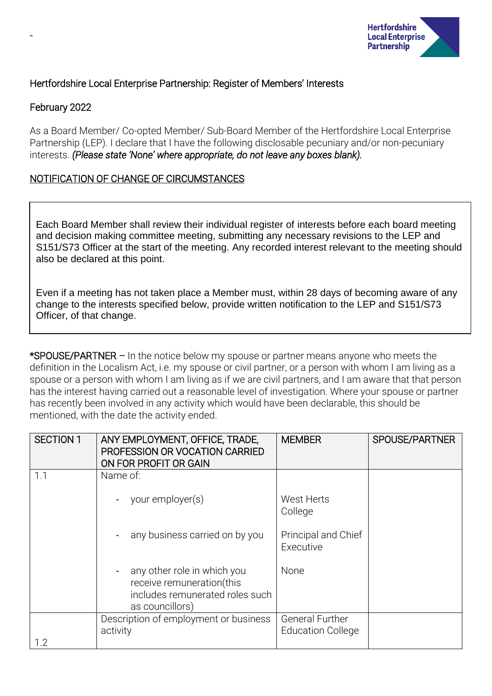

## Hertfordshire Local Enterprise Partnership: Register of Members' Interests

## February 2022

-

As a Board Member/ Co-opted Member/ Sub-Board Member of the Hertfordshire Local Enterprise Partnership (LEP). I declare that I have the following disclosable pecuniary and/or non-pecuniary interests. *(Please state 'None' where appropriate, do not leave any boxes blank).*

## NOTIFICATION OF CHANGE OF CIRCUMSTANCES

Each Board Member shall review their individual register of interests before each board meeting and decision making committee meeting, submitting any necessary revisions to the LEP and S151/S73 Officer at the start of the meeting. Any recorded interest relevant to the meeting should also be declared at this point.

Even if a meeting has not taken place a Member must, within 28 days of becoming aware of any change to the interests specified below, provide written notification to the LEP and S151/S73 Officer, of that change.

\*SPOUSE/PARTNER – In the notice below my spouse or partner means anyone who meets the definition in the Localism Act, i.e. my spouse or civil partner, or a person with whom I am living as a spouse or a person with whom I am living as if we are civil partners, and I am aware that that person has the interest having carried out a reasonable level of investigation. Where your spouse or partner has recently been involved in any activity which would have been declarable, this should be mentioned, with the date the activity ended.

| <b>SECTION 1</b> | ANY EMPLOYMENT, OFFICE, TRADE,<br>PROFESSION OR VOCATION CARRIED<br>ON FOR PROFIT OR GAIN                      | <b>MEMBER</b>                                      | SPOUSE/PARTNER |
|------------------|----------------------------------------------------------------------------------------------------------------|----------------------------------------------------|----------------|
| 1.1              | Name of:                                                                                                       |                                                    |                |
|                  | your employer(s)                                                                                               | West Herts<br>College                              |                |
|                  | any business carried on by you                                                                                 | Principal and Chief<br>Executive                   |                |
|                  | any other role in which you<br>receive remuneration(this<br>includes remunerated roles such<br>as councillors) | None                                               |                |
|                  | Description of employment or business<br>activity                                                              | <b>General Further</b><br><b>Education College</b> |                |
| 1.2              |                                                                                                                |                                                    |                |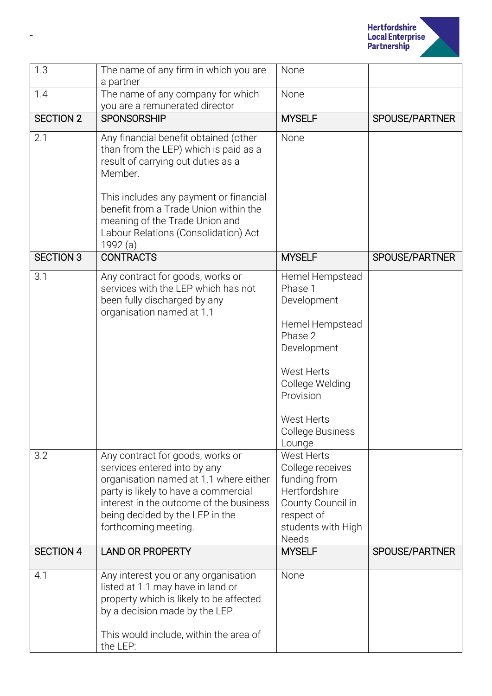

| 1.3              | The name of any firm in which you are<br>a partner                                                                                                                                                                                                                                                       | None                                                                                                                                                                                    |                |
|------------------|----------------------------------------------------------------------------------------------------------------------------------------------------------------------------------------------------------------------------------------------------------------------------------------------------------|-----------------------------------------------------------------------------------------------------------------------------------------------------------------------------------------|----------------|
| 1.4              | The name of any company for which<br>you are a remunerated director                                                                                                                                                                                                                                      | None                                                                                                                                                                                    |                |
| <b>SECTION 2</b> | <b>SPONSORSHIP</b>                                                                                                                                                                                                                                                                                       | <b>MYSELF</b>                                                                                                                                                                           | SPOUSE/PARTNER |
| 2.1              | Any financial benefit obtained (other<br>than from the LEP) which is paid as a<br>result of carrying out duties as a<br>Member.<br>This includes any payment or financial<br>benefit from a Trade Union within the<br>meaning of the Trade Union and<br>Labour Relations (Consolidation) Act<br>1992 (a) | None                                                                                                                                                                                    |                |
| <b>SECTION 3</b> | <b>CONTRACTS</b>                                                                                                                                                                                                                                                                                         | <b>MYSELF</b>                                                                                                                                                                           | SPOUSE/PARTNER |
| 3.1              | Any contract for goods, works or<br>services with the LEP which has not<br>been fully discharged by any<br>organisation named at 1.1                                                                                                                                                                     | Hemel Hempstead<br>Phase 1<br>Development<br>Hemel Hempstead<br>Phase 2<br>Development<br>West Herts<br>College Welding<br>Provision<br>West Herts<br><b>College Business</b><br>Lounge |                |
| 3.2              | Any contract for goods, works or<br>services entered into by any<br>organisation named at 1.1 where either<br>party is likely to have a commercial<br>interest in the outcome of the business<br>being decided by the LEP in the<br>forthcoming meeting.                                                 | West Herts<br>College receives<br>funding from<br>Hertfordshire<br>County Council in<br>respect of<br>students with High<br><b>Needs</b>                                                |                |
| <b>SECTION 4</b> | <b>LAND OR PROPERTY</b>                                                                                                                                                                                                                                                                                  | <b>MYSELF</b>                                                                                                                                                                           | SPOUSE/PARTNER |
| 4.1              | Any interest you or any organisation<br>listed at 1.1 may have in land or<br>property which is likely to be affected<br>by a decision made by the LEP.<br>This would include, within the area of<br>the LEP:                                                                                             | None                                                                                                                                                                                    |                |

-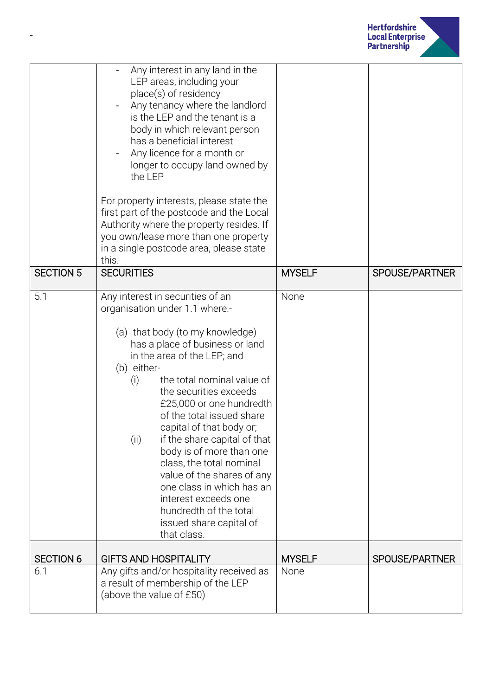

|                  | Any interest in any land in the<br>LEP areas, including your<br>place(s) of residency<br>Any tenancy where the landlord<br>is the LEP and the tenant is a<br>body in which relevant person<br>has a beneficial interest<br>Any licence for a month or<br>longer to occupy land owned by<br>the LEP<br>For property interests, please state the<br>first part of the postcode and the Local<br>Authority where the property resides. If<br>you own/lease more than one property<br>in a single postcode area, please state<br>this.                                                               |               |                |
|------------------|--------------------------------------------------------------------------------------------------------------------------------------------------------------------------------------------------------------------------------------------------------------------------------------------------------------------------------------------------------------------------------------------------------------------------------------------------------------------------------------------------------------------------------------------------------------------------------------------------|---------------|----------------|
| <b>SECTION 5</b> | <b>SECURITIES</b>                                                                                                                                                                                                                                                                                                                                                                                                                                                                                                                                                                                | <b>MYSELF</b> | SPOUSE/PARTNER |
| 5.1              | Any interest in securities of an<br>organisation under 1.1 where:-<br>(a) that body (to my knowledge)<br>has a place of business or land<br>in the area of the LEP; and<br>(b) either-<br>the total nominal value of<br>(i)<br>the securities exceeds<br>£25,000 or one hundredth<br>of the total issued share<br>capital of that body or;<br>if the share capital of that<br>(i)<br>body is of more than one<br>class, the total nominal<br>value of the shares of any<br>one class in which has an<br>interest exceeds one<br>hundredth of the total<br>issued share capital of<br>that class. | None          |                |
| <b>SECTION 6</b> | <b>GIFTS AND HOSPITALITY</b>                                                                                                                                                                                                                                                                                                                                                                                                                                                                                                                                                                     | <b>MYSELF</b> | SPOUSE/PARTNER |
| 6.1              | Any gifts and/or hospitality received as<br>a result of membership of the LEP<br>(above the value of £50)                                                                                                                                                                                                                                                                                                                                                                                                                                                                                        | None          |                |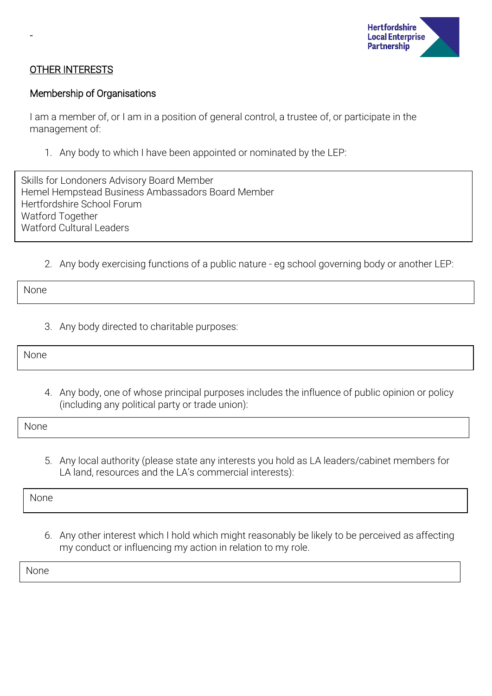

#### OTHER INTERESTS

-

#### Membership of Organisations

I am a member of, or I am in a position of general control, a trustee of, or participate in the management of:

1. Any body to which I have been appointed or nominated by the LEP:

Skills for Londoners Advisory Board Member Hemel Hempstead Business Ambassadors Board Member Hertfordshire School Forum Watford Together Watford Cultural Leaders

2. Any body exercising functions of a public nature - eg school governing body or another LEP:

None

3. Any body directed to charitable purposes:

None

4. Any body, one of whose principal purposes includes the influence of public opinion or policy (including any political party or trade union):

None

5. Any local authority (please state any interests you hold as LA leaders/cabinet members for LA land, resources and the LA's commercial interests):

None

6. Any other interest which I hold which might reasonably be likely to be perceived as affecting my conduct or influencing my action in relation to my role.

None